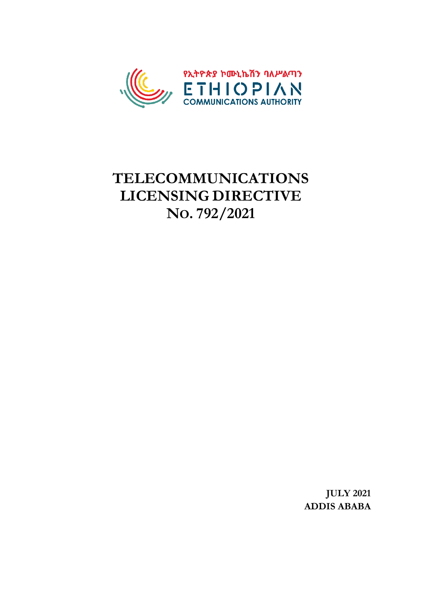

# **TELECOMMUNICATIONS LICENSING DIRECTIVE NO. 792/2021**

**JULY 2021 ADDIS ABABA**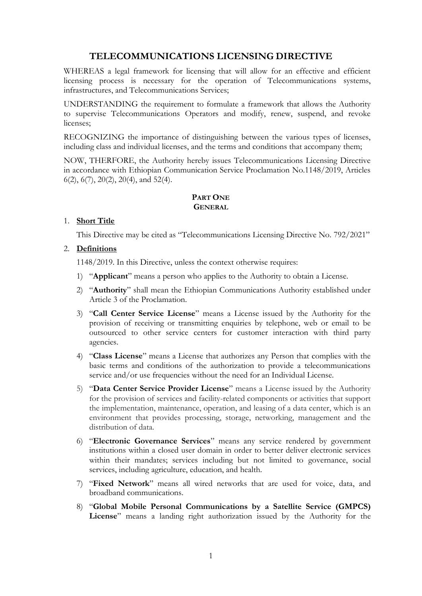# **TELECOMMUNICATIONS LICENSING DIRECTIVE**

WHEREAS a legal framework for licensing that will allow for an effective and efficient licensing process is necessary for the operation of Telecommunications systems, infrastructures, and Telecommunications Services;

UNDERSTANDING the requirement to formulate a framework that allows the Authority to supervise Telecommunications Operators and modify, renew, suspend, and revoke licenses;

RECOGNIZING the importance of distinguishing between the various types of licenses, including class and individual licenses, and the terms and conditions that accompany them;

NOW, THERFORE, the Authority hereby issues Telecommunications Licensing Directive in accordance with Ethiopian Communication Service Proclamation No.1148/2019, Articles 6(2), 6(7), 20(2), 20(4), and 52(4).

#### **PART ONE GENERAL**

# 1. **Short Title**

This Directive may be cited as "Telecommunications Licensing Directive No. 792/2021"

# 2. **Definitions**

1148/2019. In this Directive, unless the context otherwise requires:

- 1) "**Applicant**" means a person who applies to the Authority to obtain a License.
- 2) "**Authority**" shall mean the Ethiopian Communications Authority established under Article 3 of the Proclamation.
- 3) "**Call Center Service License**" means a License issued by the Authority for the provision of receiving or transmitting enquiries by telephone, web or email to be outsourced to other service centers for customer interaction with third party agencies.
- 4) "**Class License**" means a License that authorizes any Person that complies with the basic terms and conditions of the authorization to provide a telecommunications service and/or use frequencies without the need for an Individual License.
- 5) "**Data Center Service Provider License**" means a License issued by the Authority for the provision of services and facility-related components or activities that support the implementation, maintenance, operation, and leasing of a data center, which is an environment that provides processing, storage, networking, management and the distribution of data.
- 6) "**Electronic Governance Services**" means any service rendered by government institutions within a closed user domain in order to better deliver electronic services within their mandates; services including but not limited to governance, social services, including agriculture, education, and health.
- 7) "**Fixed Network**" means all wired networks that are used for voice, data, and broadband communications.
- 8) "**Global Mobile Personal Communications by a Satellite Service (GMPCS) License**" means a landing right authorization issued by the Authority for the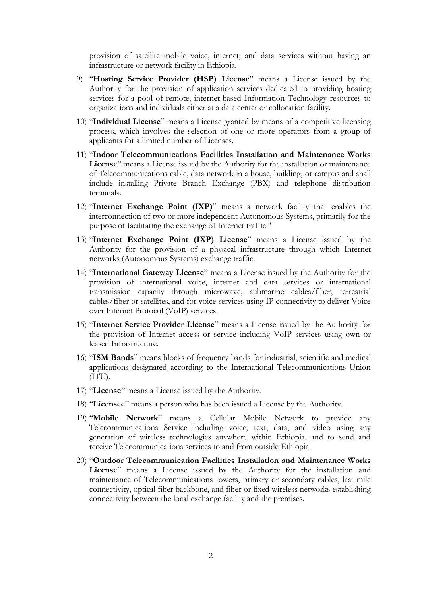provision of satellite mobile voice, internet, and data services without having an infrastructure or network facility in Ethiopia.

- 9) "**Hosting Service Provider (HSP) License**" means a License issued by the Authority for the provision of application services dedicated to providing hosting services for a pool of remote, internet-based Information Technology resources to organizations and individuals either at a data center or collocation facility.
- 10) "**Individual License**" means a License granted by means of a competitive licensing process, which involves the selection of one or more operators from a group of applicants for a limited number of Licenses.
- 11) "**Indoor Telecommunications Facilities Installation and Maintenance Works License**" means a License issued by the Authority for the installation or maintenance of Telecommunications cable, data network in a house, building, or campus and shall include installing Private Branch Exchange (PBX) and telephone distribution terminals.
- 12) "**Internet Exchange Point (IXP)**" means a network facility that enables the interconnection of two or more independent Autonomous Systems, primarily for the purpose of facilitating the exchange of Internet traffic."
- 13) "**Internet Exchange Point (IXP) License**" means a License issued by the Authority for the provision of a physical infrastructure through which Internet networks (Autonomous Systems) exchange traffic.
- 14) "**International Gateway License**" means a License issued by the Authority for the provision of international voice, internet and data services or international transmission capacity through microwave, submarine cables/fiber, terrestrial cables/fiber or satellites, and for voice services using IP connectivity to deliver Voice over Internet Protocol (VoIP) services.
- 15) "**Internet Service Provider License**" means a License issued by the Authority for the provision of Internet access or service including VoIP services using own or leased Infrastructure.
- 16) "**ISM Bands**" means blocks of frequency bands for industrial, scientific and medical applications designated according to the International Telecommunications Union (ITU).
- 17) "**License**" means a License issued by the Authority.
- 18) "**Licensee**" means a person who has been issued a License by the Authority.
- 19) "**Mobile Network**" means a Cellular Mobile Network to provide any Telecommunications Service including voice, text, data, and video using any generation of wireless technologies anywhere within Ethiopia, and to send and receive Telecommunications services to and from outside Ethiopia.
- 20) "**Outdoor Telecommunication Facilities Installation and Maintenance Works License**" means a License issued by the Authority for the installation and maintenance of Telecommunications towers, primary or secondary cables, last mile connectivity, optical fiber backbone, and fiber or fixed wireless networks establishing connectivity between the local exchange facility and the premises.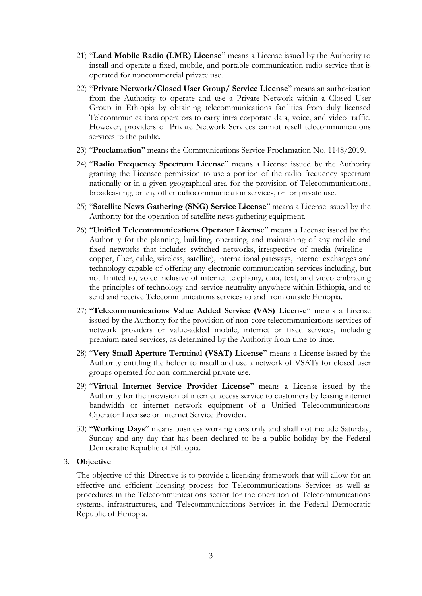- 21) "**Land Mobile Radio (LMR) License**" means a License issued by the Authority to install and operate a fixed, mobile, and portable communication radio service that is operated for noncommercial private use.
- 22) "**Private Network/Closed User Group/ Service License**" means an authorization from the Authority to operate and use a Private Network within a Closed User Group in Ethiopia by obtaining telecommunications facilities from duly licensed Telecommunications operators to carry intra corporate data, voice, and video traffic. However, providers of Private Network Services cannot resell telecommunications services to the public.
- 23) "**Proclamation**" means the Communications Service Proclamation No. 1148/2019.
- 24) "**Radio Frequency Spectrum License**" means a License issued by the Authority granting the Licensee permission to use a portion of the radio frequency spectrum nationally or in a given geographical area for the provision of Telecommunications, broadcasting, or any other radiocommunication services, or for private use.
- 25) "**Satellite News Gathering (SNG) Service License**" means a License issued by the Authority for the operation of satellite news gathering equipment.
- 26) "**Unified Telecommunications Operator License**" means a License issued by the Authority for the planning, building, operating, and maintaining of any mobile and fixed networks that includes switched networks, irrespective of media (wireline – copper, fiber, cable, wireless, satellite), international gateways, internet exchanges and technology capable of offering any electronic communication services including, but not limited to, voice inclusive of internet telephony, data, text, and video embracing the principles of technology and service neutrality anywhere within Ethiopia, and to send and receive Telecommunications services to and from outside Ethiopia.
- 27) "**Telecommunications Value Added Service (VAS) License**" means a License issued by the Authority for the provision of non-core telecommunications services of network providers or value-added mobile, internet or fixed services, including premium rated services, as determined by the Authority from time to time.
- 28) "**Very Small Aperture Terminal (VSAT) License**" means a License issued by the Authority entitling the holder to install and use a network of VSATs for closed user groups operated for non-commercial private use.
- 29) "**Virtual Internet Service Provider License**" means a License issued by the Authority for the provision of internet access service to customers by leasing internet bandwidth or internet network equipment of a Unified Telecommunications Operator Licensee or Internet Service Provider.
- 30) "**Working Days**" means business working days only and shall not include Saturday, Sunday and any day that has been declared to be a public holiday by the Federal Democratic Republic of Ethiopia.

# 3. **Objective**

The objective of this Directive is to provide a licensing framework that will allow for an effective and efficient licensing process for Telecommunications Services as well as procedures in the Telecommunications sector for the operation of Telecommunications systems, infrastructures, and Telecommunications Services in the Federal Democratic Republic of Ethiopia.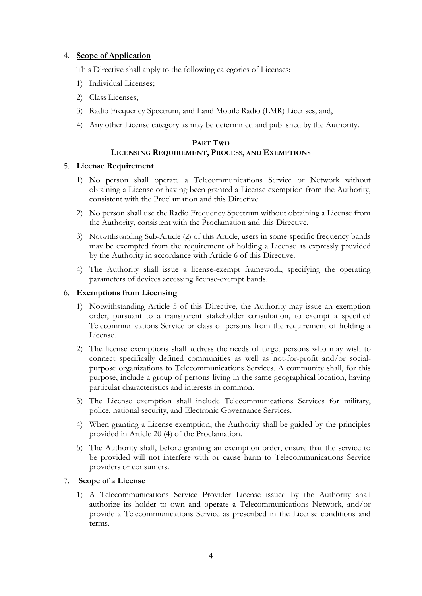# 4. **Scope of Application**

This Directive shall apply to the following categories of Licenses:

- 1) Individual Licenses;
- 2) Class Licenses;
- 3) Radio Frequency Spectrum, and Land Mobile Radio (LMR) Licenses; and,
- 4) Any other License category as may be determined and published by the Authority.

# **PART TWO LICENSING REQUIREMENT, PROCESS, AND EXEMPTIONS**

# 5. **License Requirement**

- 1) No person shall operate a Telecommunications Service or Network without obtaining a License or having been granted a License exemption from the Authority, consistent with the Proclamation and this Directive.
- 2) No person shall use the Radio Frequency Spectrum without obtaining a License from the Authority, consistent with the Proclamation and this Directive.
- 3) Notwithstanding Sub-Article (2) of this Article, users in some specific frequency bands may be exempted from the requirement of holding a License as expressly provided by the Authority in accordance with Article 6 of this Directive.
- 4) The Authority shall issue a license-exempt framework, specifying the operating parameters of devices accessing license-exempt bands.

# 6. **Exemptions from Licensing**

- 1) Notwithstanding Article 5 of this Directive, the Authority may issue an exemption order, pursuant to a transparent stakeholder consultation, to exempt a specified Telecommunications Service or class of persons from the requirement of holding a License.
- 2) The license exemptions shall address the needs of target persons who may wish to connect specifically defined communities as well as not-for-profit and/or socialpurpose organizations to Telecommunications Services. A community shall, for this purpose, include a group of persons living in the same geographical location, having particular characteristics and interests in common.
- 3) The License exemption shall include Telecommunications Services for military, police, national security, and Electronic Governance Services.
- 4) When granting a License exemption, the Authority shall be guided by the principles provided in Article 20 (4) of the Proclamation.
- 5) The Authority shall, before granting an exemption order, ensure that the service to be provided will not interfere with or cause harm to Telecommunications Service providers or consumers.

# 7. **Scope of a License**

1) A Telecommunications Service Provider License issued by the Authority shall authorize its holder to own and operate a Telecommunications Network, and/or provide a Telecommunications Service as prescribed in the License conditions and terms.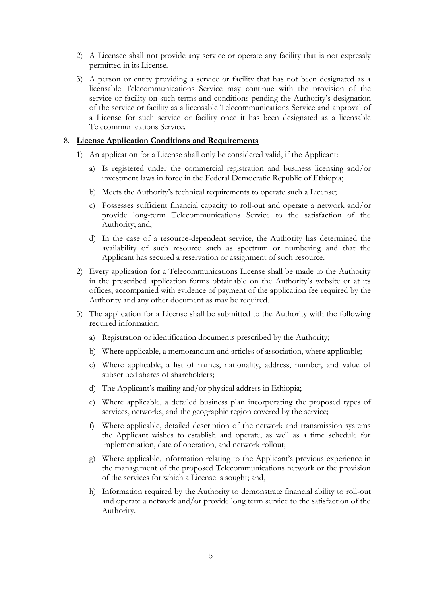- 2) A Licensee shall not provide any service or operate any facility that is not expressly permitted in its License.
- 3) A person or entity providing a service or facility that has not been designated as a licensable Telecommunications Service may continue with the provision of the service or facility on such terms and conditions pending the Authority's designation of the service or facility as a licensable Telecommunications Service and approval of a License for such service or facility once it has been designated as a licensable Telecommunications Service.

#### 8. **License Application Conditions and Requirements**

- 1) An application for a License shall only be considered valid, if the Applicant:
	- a) Is registered under the commercial registration and business licensing and/or investment laws in force in the Federal Democratic Republic of Ethiopia;
	- b) Meets the Authority's technical requirements to operate such a License;
	- c) Possesses sufficient financial capacity to roll-out and operate a network and/or provide long-term Telecommunications Service to the satisfaction of the Authority; and,
	- d) In the case of a resource-dependent service, the Authority has determined the availability of such resource such as spectrum or numbering and that the Applicant has secured a reservation or assignment of such resource.
- 2) Every application for a Telecommunications License shall be made to the Authority in the prescribed application forms obtainable on the Authority's website or at its offices, accompanied with evidence of payment of the application fee required by the Authority and any other document as may be required.
- 3) The application for a License shall be submitted to the Authority with the following required information:
	- a) Registration or identification documents prescribed by the Authority;
	- b) Where applicable, a memorandum and articles of association, where applicable;
	- c) Where applicable, a list of names, nationality, address, number, and value of subscribed shares of shareholders;
	- d) The Applicant's mailing and/or physical address in Ethiopia;
	- e) Where applicable, a detailed business plan incorporating the proposed types of services, networks, and the geographic region covered by the service;
	- f) Where applicable, detailed description of the network and transmission systems the Applicant wishes to establish and operate, as well as a time schedule for implementation, date of operation, and network rollout;
	- g) Where applicable, information relating to the Applicant's previous experience in the management of the proposed Telecommunications network or the provision of the services for which a License is sought; and,
	- h) Information required by the Authority to demonstrate financial ability to roll-out and operate a network and/or provide long term service to the satisfaction of the Authority.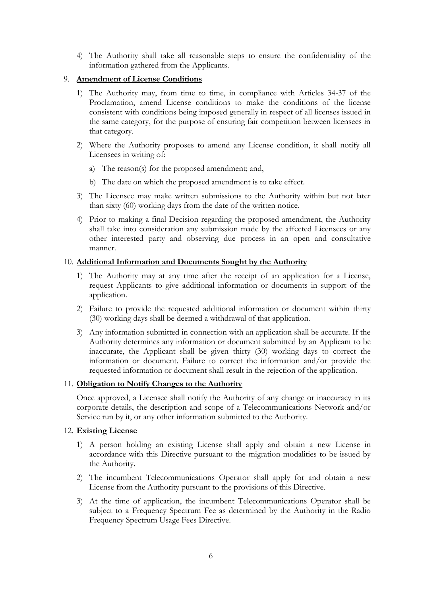4) The Authority shall take all reasonable steps to ensure the confidentiality of the information gathered from the Applicants.

# 9. **Amendment of License Conditions**

- 1) The Authority may, from time to time, in compliance with Articles 34-37 of the Proclamation, amend License conditions to make the conditions of the license consistent with conditions being imposed generally in respect of all licenses issued in the same category, for the purpose of ensuring fair competition between licensees in that category.
- 2) Where the Authority proposes to amend any License condition, it shall notify all Licensees in writing of:
	- a) The reason(s) for the proposed amendment; and,
	- b) The date on which the proposed amendment is to take effect.
- 3) The Licensee may make written submissions to the Authority within but not later than sixty (60) working days from the date of the written notice.
- 4) Prior to making a final Decision regarding the proposed amendment, the Authority shall take into consideration any submission made by the affected Licensees or any other interested party and observing due process in an open and consultative manner.

# 10. **Additional Information and Documents Sought by the Authority**

- 1) The Authority may at any time after the receipt of an application for a License, request Applicants to give additional information or documents in support of the application.
- 2) Failure to provide the requested additional information or document within thirty (30) working days shall be deemed a withdrawal of that application.
- 3) Any information submitted in connection with an application shall be accurate. If the Authority determines any information or document submitted by an Applicant to be inaccurate, the Applicant shall be given thirty (30) working days to correct the information or document. Failure to correct the information and/or provide the requested information or document shall result in the rejection of the application.

# 11. **Obligation to Notify Changes to the Authority**

Once approved, a Licensee shall notify the Authority of any change or inaccuracy in its corporate details, the description and scope of a Telecommunications Network and/or Service run by it, or any other information submitted to the Authority.

# 12. **Existing License**

- 1) A person holding an existing License shall apply and obtain a new License in accordance with this Directive pursuant to the migration modalities to be issued by the Authority.
- 2) The incumbent Telecommunications Operator shall apply for and obtain a new License from the Authority pursuant to the provisions of this Directive.
- 3) At the time of application, the incumbent Telecommunications Operator shall be subject to a Frequency Spectrum Fee as determined by the Authority in the Radio Frequency Spectrum Usage Fees Directive.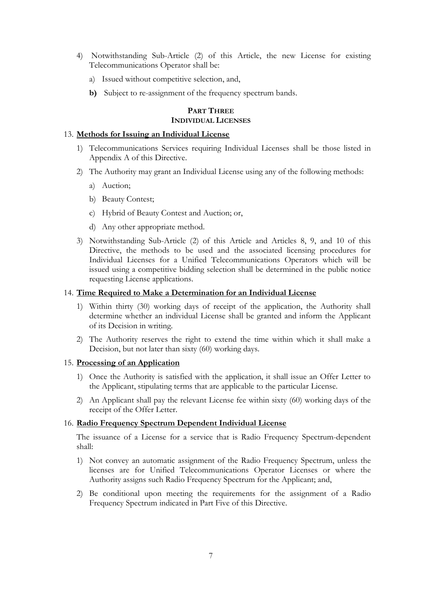- 4) Notwithstanding Sub-Article (2) of this Article, the new License for existing Telecommunications Operator shall be:
	- a) Issued without competitive selection, and,
	- **b)** Subject to re-assignment of the frequency spectrum bands.

# **PART THREE INDIVIDUAL LICENSES**

#### 13. **Methods for Issuing an Individual License**

- 1) Telecommunications Services requiring Individual Licenses shall be those listed in Appendix A of this Directive.
- 2) The Authority may grant an Individual License using any of the following methods:
	- a) Auction;
	- b) Beauty Contest;
	- c) Hybrid of Beauty Contest and Auction; or,
	- d) Any other appropriate method.
- 3) Notwithstanding Sub-Article (2) of this Article and Articles 8, 9, and 10 of this Directive, the methods to be used and the associated licensing procedures for Individual Licenses for a Unified Telecommunications Operators which will be issued using a competitive bidding selection shall be determined in the public notice requesting License applications.

#### 14. **Time Required to Make a Determination for an Individual License**

- 1) Within thirty (30) working days of receipt of the application, the Authority shall determine whether an individual License shall be granted and inform the Applicant of its Decision in writing.
- 2) The Authority reserves the right to extend the time within which it shall make a Decision, but not later than sixty (60) working days.

#### 15. **Processing of an Application**

- 1) Once the Authority is satisfied with the application, it shall issue an Offer Letter to the Applicant, stipulating terms that are applicable to the particular License.
- 2) An Applicant shall pay the relevant License fee within sixty (60) working days of the receipt of the Offer Letter.

#### 16. **Radio Frequency Spectrum Dependent Individual License**

The issuance of a License for a service that is Radio Frequency Spectrum-dependent shall:

- 1) Not convey an automatic assignment of the Radio Frequency Spectrum, unless the licenses are for Unified Telecommunications Operator Licenses or where the Authority assigns such Radio Frequency Spectrum for the Applicant; and,
- 2) Be conditional upon meeting the requirements for the assignment of a Radio Frequency Spectrum indicated in Part Five of this Directive.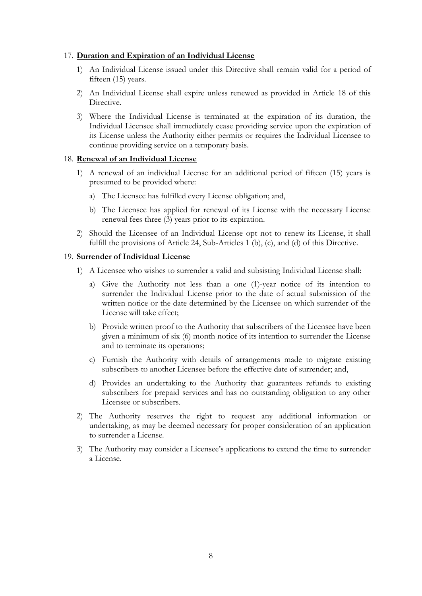#### 17. **Duration and Expiration of an Individual License**

- 1) An Individual License issued under this Directive shall remain valid for a period of fifteen (15) years.
- 2) An Individual License shall expire unless renewed as provided in Article 18 of this Directive.
- 3) Where the Individual License is terminated at the expiration of its duration, the Individual Licensee shall immediately cease providing service upon the expiration of its License unless the Authority either permits or requires the Individual Licensee to continue providing service on a temporary basis.

#### 18. **Renewal of an Individual License**

- 1) A renewal of an individual License for an additional period of fifteen (15) years is presumed to be provided where:
	- a) The Licensee has fulfilled every License obligation; and,
	- b) The Licensee has applied for renewal of its License with the necessary License renewal fees three (3) years prior to its expiration.
- 2) Should the Licensee of an Individual License opt not to renew its License, it shall fulfill the provisions of Article 24, Sub-Articles 1 (b), (c), and (d) of this Directive.

#### 19. **Surrender of Individual License**

- 1) A Licensee who wishes to surrender a valid and subsisting Individual License shall:
	- a) Give the Authority not less than a one (1)-year notice of its intention to surrender the Individual License prior to the date of actual submission of the written notice or the date determined by the Licensee on which surrender of the License will take effect;
	- b) Provide written proof to the Authority that subscribers of the Licensee have been given a minimum of six (6) month notice of its intention to surrender the License and to terminate its operations;
	- c) Furnish the Authority with details of arrangements made to migrate existing subscribers to another Licensee before the effective date of surrender; and,
	- d) Provides an undertaking to the Authority that guarantees refunds to existing subscribers for prepaid services and has no outstanding obligation to any other Licensee or subscribers.
- 2) The Authority reserves the right to request any additional information or undertaking, as may be deemed necessary for proper consideration of an application to surrender a License.
- 3) The Authority may consider a Licensee's applications to extend the time to surrender a License.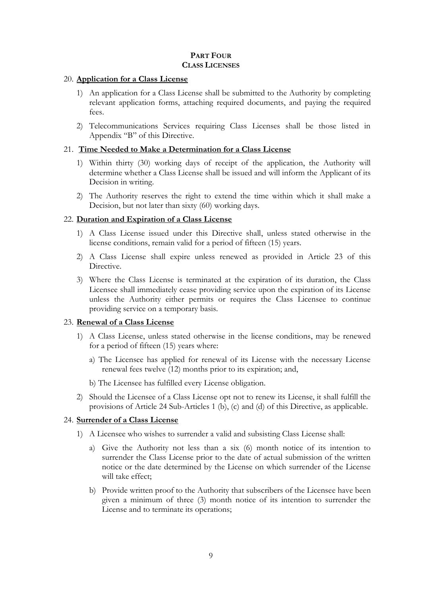# **PART FOUR CLASS LICENSES**

#### 20. **Application for a Class License**

- 1) An application for a Class License shall be submitted to the Authority by completing relevant application forms, attaching required documents, and paying the required fees.
- 2) Telecommunications Services requiring Class Licenses shall be those listed in Appendix "B" of this Directive.

# 21. **Time Needed to Make a Determination for a Class License**

- 1) Within thirty (30) working days of receipt of the application, the Authority will determine whether a Class License shall be issued and will inform the Applicant of its Decision in writing.
- 2) The Authority reserves the right to extend the time within which it shall make a Decision, but not later than sixty (60) working days.

# 22. **Duration and Expiration of a Class License**

- 1) A Class License issued under this Directive shall, unless stated otherwise in the license conditions, remain valid for a period of fifteen (15) years.
- 2) A Class License shall expire unless renewed as provided in Article 23 of this Directive.
- 3) Where the Class License is terminated at the expiration of its duration, the Class Licensee shall immediately cease providing service upon the expiration of its License unless the Authority either permits or requires the Class Licensee to continue providing service on a temporary basis.

# 23. **Renewal of a Class License**

- 1) A Class License, unless stated otherwise in the license conditions, may be renewed for a period of fifteen (15) years where:
	- a) The Licensee has applied for renewal of its License with the necessary License renewal fees twelve (12) months prior to its expiration; and,
	- b) The Licensee has fulfilled every License obligation.
- 2) Should the Licensee of a Class License opt not to renew its License, it shall fulfill the provisions of Article 24 Sub-Articles 1 (b), (c) and (d) of this Directive, as applicable.

# 24. **Surrender of a Class License**

- 1) A Licensee who wishes to surrender a valid and subsisting Class License shall:
	- a) Give the Authority not less than a six (6) month notice of its intention to surrender the Class License prior to the date of actual submission of the written notice or the date determined by the License on which surrender of the License will take effect;
	- b) Provide written proof to the Authority that subscribers of the Licensee have been given a minimum of three (3) month notice of its intention to surrender the License and to terminate its operations;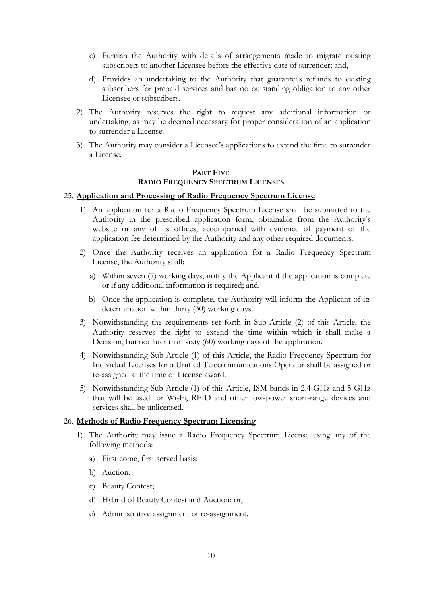- c) Furnish the Authority with details of arrangements made to migrate existing subscribers to another Licensee before the effective date of surrender; and,
- d) Provides an undertaking to the Authority that guarantees refunds to existing subscribers for prepaid services and has no outstanding obligation to any other Licensee or subscribers.
- 2) The Authority reserves the right to request any additional information or undertaking, as may be deemed necessary for proper consideration of an application to surrender a License.
- 3) The Authority may consider a Licensee's applications to extend the time to surrender a License.

#### **PART FIVE RADIO FREQUENCY SPECTRUM LICENSES**

#### 25. **Application and Processing of Radio Frequency Spectrum License**

- 1) An application for a Radio Frequency Spectrum License shall be submitted to the Authority in the prescribed application form, obtainable from the Authority's website or any of its offices, accompanied with evidence of payment of the application fee determined by the Authority and any other required documents.
- 2) Once the Authority receives an application for a Radio Frequency Spectrum License, the Authority shall:
	- a) Within seven (7) working days, notify the Applicant if the application is complete or if any additional information is required; and,
	- b) Once the application is complete, the Authority will inform the Applicant of its determination within thirty (30) working days.
- 3) Notwithstanding the requirements set forth in Sub-Article (2) of this Article, the Authority reserves the right to extend the time within which it shall make a Decision, but not later than sixty (60) working days of the application.
- 4) Notwithstanding Sub-Article (1) of this Article, the Radio Frequency Spectrum for Individual Licenses for a Unified Telecommunications Operator shall be assigned or re-assigned at the time of License award.
- 5) Notwithstanding Sub-Article (1) of this Article, ISM bands in 2.4 GHz and 5 GHz that will be used for Wi-Fi, RFID and other low-power short-range devices and services shall be unlicensed.

#### 26. **Methods of Radio Frequency Spectrum Licensing**

- 1) The Authority may issue a Radio Frequency Spectrum License using any of the following methods:
	- a) First come, first served basis;
	- b) Auction;
	- c) Beauty Contest;
	- d) Hybrid of Beauty Contest and Auction; or,
	- e) Administrative assignment or re-assignment.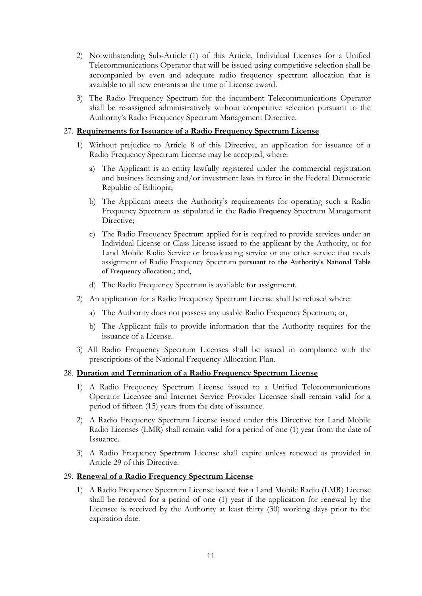- 2) Notwithstanding Sub-Article (1) of this Article, Individual Licenses for a Unified Telecommunications Operator that will be issued using competitive selection shall be accompanied by even and adequate radio frequency spectrum allocation that is available to all new entrants at the time of License award.
- 3) The Radio Frequency Spectrum for the incumbent Telecommunications Operator shall be re-assigned administratively without competitive selection pursuant to the Authority's Radio Frequency Spectrum Management Directive.

# 27. **Requirements for Issuance of a Radio Frequency Spectrum License**

- 1) Without prejudice to Article 8 of this Directive, an application for issuance of a Radio Frequency Spectrum License may be accepted, where:
	- a) The Applicant is an entity lawfully registered under the commercial registration and business licensing and/or investment laws in force in the Federal Democratic Republic of Ethiopia;
	- b) The Applicant meets the Authority's requirements for operating such a Radio Frequency Spectrum as stipulated in the Radio Frequency Spectrum Management Directive;
	- c) The Radio Frequency Spectrum applied for is required to provide services under an Individual License or Class License issued to the applicant by the Authority, or for Land Mobile Radio Service or broadcasting service or any other service that needs assignment of Radio Frequency Spectrum pursuant to the Authority's National Table of Frequency allocation.; and,
	- d) The Radio Frequency Spectrum is available for assignment.
- 2) An application for a Radio Frequency Spectrum License shall be refused where:
	- a) The Authority does not possess any usable Radio Frequency Spectrum; or,
	- b) The Applicant fails to provide information that the Authority requires for the issuance of a License.
- 3) All Radio Frequency Spectrum Licenses shall be issued in compliance with the prescriptions of the National Frequency Allocation Plan.

# 28. **Duration and Termination of a Radio Frequency Spectrum License**

- 1) A Radio Frequency Spectrum License issued to a Unified Telecommunications Operator Licensee and Internet Service Provider Licensee shall remain valid for a period of fifteen (15) years from the date of issuance.
- 2) A Radio Frequency Spectrum License issued under this Directive for Land Mobile Radio Licenses (LMR) shall remain valid for a period of one (1) year from the date of Issuance.
- 3) A Radio Frequency Spectrum License shall expire unless renewed as provided in Article 29 of this Directive.

# 29. **Renewal of a Radio Frequency Spectrum License**

1) A Radio Frequency Spectrum License issued for a Land Mobile Radio (LMR) License shall be renewed for a period of one (1) year if the application for renewal by the Licensee is received by the Authority at least thirty (30) working days prior to the expiration date.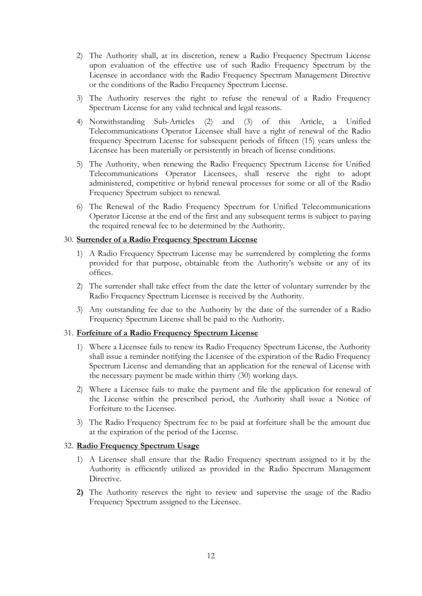- 2) The Authority shall, at its discretion, renew a Radio Frequency Spectrum License upon evaluation of the effective use of such Radio Frequency Spectrum by the Licensee in accordance with the Radio Frequency Spectrum Management Directive or the conditions of the Radio Frequency Spectrum License.
- 3) The Authority reserves the right to refuse the renewal of a Radio Frequency Spectrum License for any valid technical and legal reasons.
- 4) Notwithstanding Sub-Articles (2) and (3) of this Article, a Unified Telecommunications Operator Licensee shall have a right of renewal of the Radio frequency Spectrum License for subsequent periods of fifteen (15) years unless the Licensee has been materially or persistently in breach of license conditions.
- 5) The Authority, when renewing the Radio Frequency Spectrum License for Unified Telecommunications Operator Licensees, shall reserve the right to adopt administered, competitive or hybrid renewal processes for some or all of the Radio Frequency Spectrum subject to renewal.
- 6) The Renewal of the Radio Frequency Spectrum for Unified Telecommunications Operator License at the end of the first and any subsequent terms is subject to paying the required renewal fee to be determined by the Authority.

#### 30. **Surrender of a Radio Frequency Spectrum License**

- 1) A Radio Frequency Spectrum License may be surrendered by completing the forms provided for that purpose, obtainable from the Authority's website or any of its offices.
- 2) The surrender shall take effect from the date the letter of voluntary surrender by the Radio Frequency Spectrum Licensee is received by the Authority.
- 3) Any outstanding fee due to the Authority by the date of the surrender of a Radio Frequency Spectrum License shall be paid to the Authority.

# 31. **Forfeiture of a Radio Frequency Spectrum License**

- 1) Where a Licensee fails to renew its Radio Frequency Spectrum License, the Authority shall issue a reminder notifying the Licensee of the expiration of the Radio Frequency Spectrum License and demanding that an application for the renewal of License with the necessary payment be made within thirty (30) working days.
- 2) Where a Licensee fails to make the payment and file the application for renewal of the License within the prescribed period, the Authority shall issue a Notice of Forfeiture to the Licensee.
- 3) The Radio Frequency Spectrum fee to be paid at forfeiture shall be the amount due at the expiration of the period of the License.

# 32. **Radio Frequency Spectrum Usage**

- 1) A Licensee shall ensure that the Radio Frequency spectrum assigned to it by the Authority is efficiently utilized as provided in the Radio Spectrum Management Directive.
- **2)** The Authority reserves the right to review and supervise the usage of the Radio Frequency Spectrum assigned to the Licensee.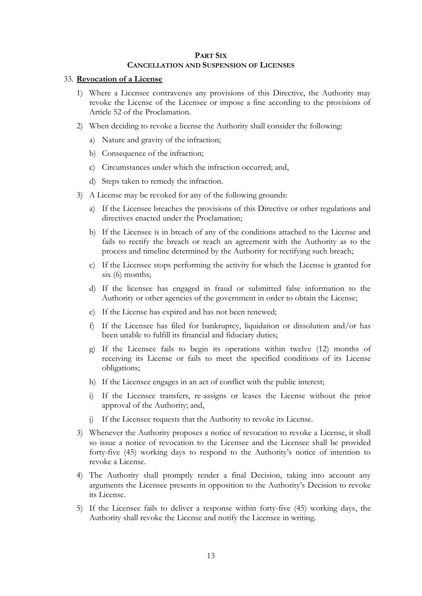#### **PART SIX CANCELLATION AND SUSPENSION OF LICENSES**

#### 33. **Revocation of a License**

- 1) Where a Licensee contravenes any provisions of this Directive, the Authority may revoke the License of the Licensee or impose a fine according to the provisions of Article 52 of the Proclamation.
- 2) When deciding to revoke a license the Authority shall consider the following:
	- a) Nature and gravity of the infraction;
	- b) Consequence of the infraction;
	- c) Circumstances under which the infraction occurred; and,
	- d) Steps taken to remedy the infraction.
- 3) A License may be revoked for any of the following grounds:
	- a) If the Licensee breaches the provisions of this Directive or other regulations and directives enacted under the Proclamation;
	- b) If the Licensee is in breach of any of the conditions attached to the License and fails to rectify the breach or reach an agreement with the Authority as to the process and timeline determined by the Authority for rectifying such breach;
	- c) If the Licensee stops performing the activity for which the License is granted for six (6) months;
	- d) If the licensee has engaged in fraud or submitted false information to the Authority or other agencies of the government in order to obtain the License;
	- e) If the License has expired and has not been renewed;
	- f) If the Licensee has filed for bankruptcy, liquidation or dissolution and/or has been unable to fulfill its financial and fiduciary duties;
	- g) If the Licensee fails to begin its operations within twelve (12) months of receiving its License or fails to meet the specified conditions of its License obligations;
	- h) If the Licensee engages in an act of conflict with the public interest;
	- i) If the Licensee transfers, re-assigns or leases the License without the prior approval of the Authority; and,
	- j) If the Licensee requests that the Authority to revoke its License.
- 3) Whenever the Authority proposes a notice of revocation to revoke a License, it shall so issue a notice of revocation to the Licensee and the Licensee shall be provided forty-five (45) working days to respond to the Authority's notice of intention to revoke a License.
- 4) The Authority shall promptly render a final Decision, taking into account any arguments the Licensee presents in opposition to the Authority's Decision to revoke its License.
- 5) If the Licensee fails to deliver a response within forty-five (45) working days, the Authority shall revoke the License and notify the Licensee in writing.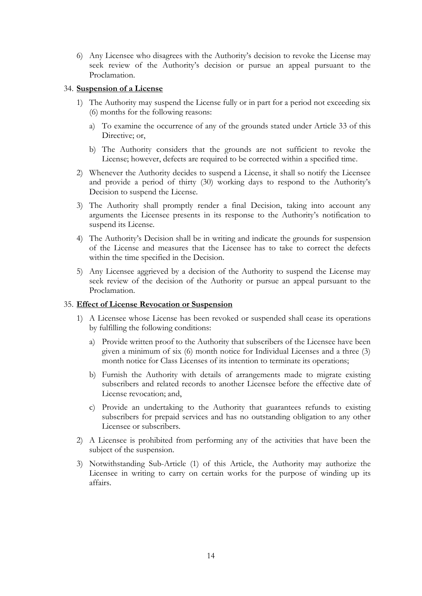6) Any Licensee who disagrees with the Authority's decision to revoke the License may seek review of the Authority's decision or pursue an appeal pursuant to the Proclamation.

# 34. **Suspension of a License**

- 1) The Authority may suspend the License fully or in part for a period not exceeding six (6) months for the following reasons:
	- a) To examine the occurrence of any of the grounds stated under Article 33 of this Directive; or,
	- b) The Authority considers that the grounds are not sufficient to revoke the License; however, defects are required to be corrected within a specified time.
- 2) Whenever the Authority decides to suspend a License, it shall so notify the Licensee and provide a period of thirty (30) working days to respond to the Authority's Decision to suspend the License.
- 3) The Authority shall promptly render a final Decision, taking into account any arguments the Licensee presents in its response to the Authority's notification to suspend its License.
- 4) The Authority's Decision shall be in writing and indicate the grounds for suspension of the License and measures that the Licensee has to take to correct the defects within the time specified in the Decision.
- 5) Any Licensee aggrieved by a decision of the Authority to suspend the License may seek review of the decision of the Authority or pursue an appeal pursuant to the Proclamation.

#### 35. **Effect of License Revocation or Suspension**

- 1) A Licensee whose License has been revoked or suspended shall cease its operations by fulfilling the following conditions:
	- a) Provide written proof to the Authority that subscribers of the Licensee have been given a minimum of six (6) month notice for Individual Licenses and a three (3) month notice for Class Licenses of its intention to terminate its operations;
	- b) Furnish the Authority with details of arrangements made to migrate existing subscribers and related records to another Licensee before the effective date of License revocation; and,
	- c) Provide an undertaking to the Authority that guarantees refunds to existing subscribers for prepaid services and has no outstanding obligation to any other Licensee or subscribers.
- 2) A Licensee is prohibited from performing any of the activities that have been the subject of the suspension.
- 3) Notwithstanding Sub-Article (1) of this Article, the Authority may authorize the Licensee in writing to carry on certain works for the purpose of winding up its affairs.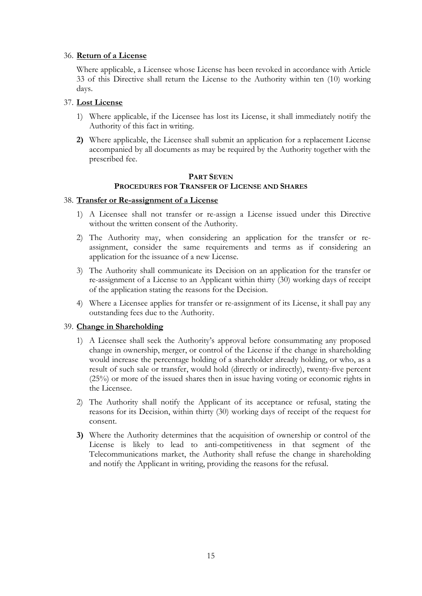# 36. **Return of a License**

Where applicable, a Licensee whose License has been revoked in accordance with Article 33 of this Directive shall return the License to the Authority within ten (10) working days.

# 37. **Lost License**

- 1) Where applicable, if the Licensee has lost its License, it shall immediately notify the Authority of this fact in writing.
- **2)** Where applicable, the Licensee shall submit an application for a replacement License accompanied by all documents as may be required by the Authority together with the prescribed fee.

#### **PART SEVEN PROCEDURES FOR TRANSFER OF LICENSE AND SHARES**

# 38. **Transfer or Re-assignment of a License**

- 1) A Licensee shall not transfer or re-assign a License issued under this Directive without the written consent of the Authority.
- 2) The Authority may, when considering an application for the transfer or reassignment, consider the same requirements and terms as if considering an application for the issuance of a new License.
- 3) The Authority shall communicate its Decision on an application for the transfer or re-assignment of a License to an Applicant within thirty (30) working days of receipt of the application stating the reasons for the Decision.
- 4) Where a Licensee applies for transfer or re-assignment of its License, it shall pay any outstanding fees due to the Authority.

# 39. **Change in Shareholding**

- 1) A Licensee shall seek the Authority's approval before consummating any proposed change in ownership, merger, or control of the License if the change in shareholding would increase the percentage holding of a shareholder already holding, or who, as a result of such sale or transfer, would hold (directly or indirectly), twenty-five percent (25%) or more of the issued shares then in issue having voting or economic rights in the Licensee.
- 2) The Authority shall notify the Applicant of its acceptance or refusal, stating the reasons for its Decision, within thirty (30) working days of receipt of the request for consent.
- **3)** Where the Authority determines that the acquisition of ownership or control of the License is likely to lead to anti-competitiveness in that segment of the Telecommunications market, the Authority shall refuse the change in shareholding and notify the Applicant in writing, providing the reasons for the refusal.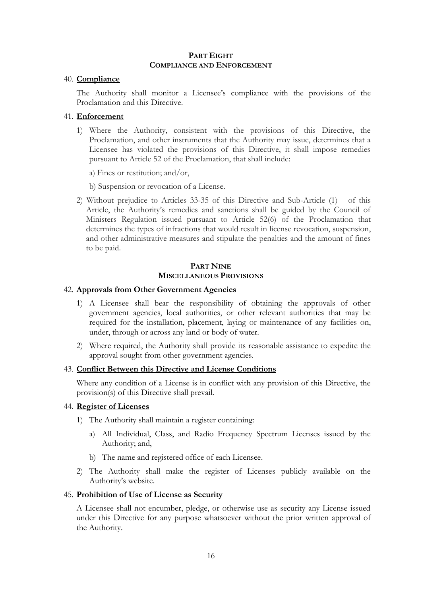#### **PART EIGHT COMPLIANCE AND ENFORCEMENT**

#### 40. **Compliance**

The Authority shall monitor a Licensee's compliance with the provisions of the Proclamation and this Directive.

# 41. **Enforcement**

- 1) Where the Authority, consistent with the provisions of this Directive, the Proclamation, and other instruments that the Authority may issue, determines that a Licensee has violated the provisions of this Directive, it shall impose remedies pursuant to Article 52 of the Proclamation, that shall include:
	- a) Fines or restitution; and/or,
	- b) Suspension or revocation of a License.
- 2) Without prejudice to Articles 33-35 of this Directive and Sub-Article (1) of this Article, the Authority's remedies and sanctions shall be guided by the Council of Ministers Regulation issued pursuant to Article 52(6) of the Proclamation that determines the types of infractions that would result in license revocation, suspension, and other administrative measures and stipulate the penalties and the amount of fines to be paid.

#### **PART NINE MISCELLANEOUS PROVISIONS**

# 42. **Approvals from Other Government Agencies**

- 1) A Licensee shall bear the responsibility of obtaining the approvals of other government agencies, local authorities, or other relevant authorities that may be required for the installation, placement, laying or maintenance of any facilities on, under, through or across any land or body of water.
- 2) Where required, the Authority shall provide its reasonable assistance to expedite the approval sought from other government agencies.

#### 43. **Conflict Between this Directive and License Conditions**

Where any condition of a License is in conflict with any provision of this Directive, the provision(s) of this Directive shall prevail.

#### 44. **Register of Licenses**

- 1) The Authority shall maintain a register containing:
	- a) All Individual, Class, and Radio Frequency Spectrum Licenses issued by the Authority; and,
	- b) The name and registered office of each Licensee.
- 2) The Authority shall make the register of Licenses publicly available on the Authority's website.

# 45. **Prohibition of Use of License as Security**

A Licensee shall not encumber, pledge, or otherwise use as security any License issued under this Directive for any purpose whatsoever without the prior written approval of the Authority.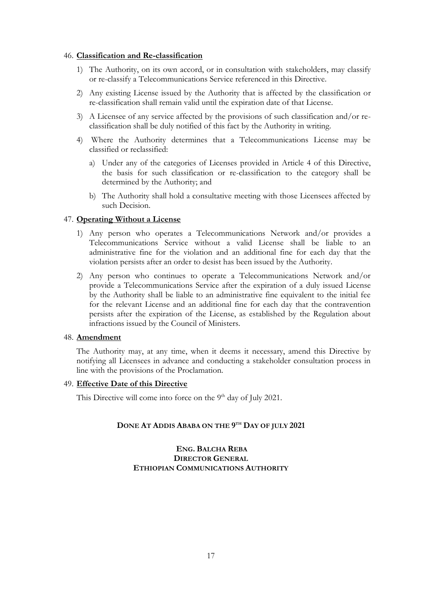#### 46. **Classification and Re-classification**

- 1) The Authority, on its own accord, or in consultation with stakeholders, may classify or re-classify a Telecommunications Service referenced in this Directive.
- 2) Any existing License issued by the Authority that is affected by the classification or re-classification shall remain valid until the expiration date of that License.
- 3) A Licensee of any service affected by the provisions of such classification and/or reclassification shall be duly notified of this fact by the Authority in writing.
- 4) Where the Authority determines that a Telecommunications License may be classified or reclassified:
	- a) Under any of the categories of Licenses provided in Article 4 of this Directive, the basis for such classification or re-classification to the category shall be determined by the Authority; and
	- b) The Authority shall hold a consultative meeting with those Licensees affected by such Decision.

# 47. **Operating Without a License**

- 1) Any person who operates a Telecommunications Network and/or provides a Telecommunications Service without a valid License shall be liable to an administrative fine for the violation and an additional fine for each day that the violation persists after an order to desist has been issued by the Authority.
- 2) Any person who continues to operate a Telecommunications Network and/or provide a Telecommunications Service after the expiration of a duly issued License by the Authority shall be liable to an administrative fine equivalent to the initial fee for the relevant License and an additional fine for each day that the contravention persists after the expiration of the License, as established by the Regulation about infractions issued by the Council of Ministers.

# 48. **Amendment**

The Authority may, at any time, when it deems it necessary, amend this Directive by notifying all Licensees in advance and conducting a stakeholder consultation process in line with the provisions of the Proclamation.

#### 49. **Effective Date of this Directive**

This Directive will come into force on the 9<sup>th</sup> day of July 2021.

# **DONE AT ADDIS ABABA ON THE 9 TH DAY OF JULY 2021**

# **ENG. BALCHA REBA DIRECTOR GENERAL ETHIOPIAN COMMUNICATIONS AUTHORITY**